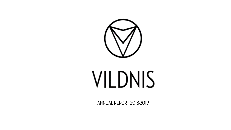

# VILDNIS

ANNUAL REPORT 2018-2019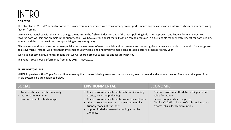# **INTRO**

# **OBJECTIVE**

The objective of VILDNIS' annual report is to provide you, our customer, with transparency on our performance so you can make an informed choice when purchasing fashion from us.

VILDNIS was launched with the aim to change the norms in the fashion industry - one of the most polluting industries at present and known for its malpractices towards both workers and animals in the supply chain. We have a strong belief that all fashion can be produced in a sustainable manner with respect for both people, animals and the planet – without compromising on style or quality.

All change takes time and resources – especially the development of new materials and processes – and we recognise that we are unable to meet all of our long-term goals overnight. Instead, we break them into smaller yearly goals and endeavour to make considerable positive progress year by year.

We value honesty highly, and this means that we will share both our successes and failures with you.

This report covers our performance from May 2018 – May 2019.

# **TRIPLE BOTTOM LINE**

VILDNIS operates with a Triple Bottom Line, meaning that success is being measured on both social, environmental and economic areas. The main principles of our Triple Bottom Line are explained below.

| <b>SOCIAL</b>                                                                                   | <b>ENVIRONMENTAL</b>                                                                                                                                                                                                                                                                  | <b>ECONOMIC</b>                                                                                                                                                                                   |
|-------------------------------------------------------------------------------------------------|---------------------------------------------------------------------------------------------------------------------------------------------------------------------------------------------------------------------------------------------------------------------------------------|---------------------------------------------------------------------------------------------------------------------------------------------------------------------------------------------------|
| • Treat workers in supply chain fairly<br>Do no harm to animals<br>Promote a healthy body image | • Use environmentally friendly materials including<br>fabrics, trims and packaging<br>• Use environmentally friendly production methods<br>Aim to be carbon neutral; use environmentally<br>friendly modes of transport<br>Support initiatives towards creating a circular<br>economy | Offer our customer affordable retail prices and<br>value for money<br>Pay our suppliers fair cost prices<br>Aim for VILDNIS to be a profitable business that<br>creates jobs in local communities |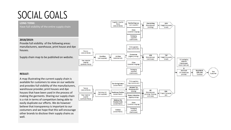# SOCIAL GOALS

well.

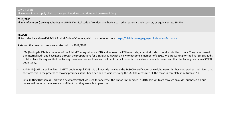# **2018/2019:**

All manufacturers (sewing) adhering to VILDNIS' ethical code of conduct and having passed an external audit such as, or equivalent to, SMETA.

# **RESULT:**

All factories have signed VILDNIS' Ethical Code of Conduct, which can be found here: <https://vildnis.co.uk/pages/ethical-code-of-conduct> .

Status on the manufacturers we worked with in 2018/2019:

- IFM (Portugal): IFM is a member of the Ethical Trading Initiative (ETI) and follows the ETI base code, an ethical code of conduct similar to ours. They have passed our internal audit and have gone through the preparations for a SMETA audit with a view to become a member of SEDEX. We are waiting for the final SMETA audit to take place. Having audited the factory ourselves, we are however confident that all potential issues have been addressed and that the factory can pass a SMETA audit today.
- AIE (India): AIE passed its latest SMETA audit in April 2019. Up till recently they held the SA8000 certification as well, however this has now expired and, given that the factory is in the process of moving premises, it has been decided to wait renewing the SA8000 certificate till the move is complete in Autumn 2019.
- Zina Knitting (Lithuania): This was a new factory that we used for one style, the Jinhae Knit Jumper, in 2018. It is yet to go through an audit, but based on our conversations with them, we are confident that they are able to pass one.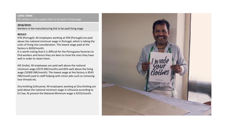All workers in the supply chain to be paid a living wage

#### **2018/2019:**

Workers in the manufacturing link to be paid living wage

# **RESULT:**

IFM (Portugal): All employees working at IFM (Portugal) are paid above the national minimum wage in Portugal, which is taking the costs of living into consideration. The lowest wage paid at the factory is €650/month.

It is worth noting that it is difficult for the Portuguese factories to find workers and hence they are keen to treat the ones they have well in order to retain them.

AIE (India): All employees are paid well above the national minimum wage (4576 INR/month) and 85% well above the living wage (10300 INR/month). The lowest wage at the factory is 8543 INR/month paid to staff helping with minor jobs such as removing lose threads etc.

Zina Knitting (Lithuania): All employees working at Zina Knitting are paid above the national minimum wage in Lithuania according to EU law. At present the National Minimum wage is €555/month.

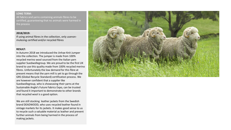All fabrics and yarns containing animals fibres to be certified, guaranteeing that no animals were harmed in the process

#### **2018/2019:**

If using animal fibres in the collection, only usenonmulesing certified and/or recycled fibres

#### **RESULT:**

In Autumn 2018 we introduced the Jinhae Knit Jumper into the collection. The jumper is made from 100% recycled merino wool sourced from the Italian yarn supplier Suedwollegroup. We are proud to be the first UK brand to use this quality made from 100% recycled merino fibres. Unfortunately the low demand for this fibre at present means that the yarn mill is yet to go through the GRS (Global Recycle Standard) certification process. We are however confident that a supplier like Suedwollegroup, who is showcasing their yarns at the Sustainable Angle's Future Fabrics Expo, can be trusted and found it important to demonstrate to other brands that recycled wool is a good option.

We are still stocking leather jackets from the Swedish brand DEADWOOD, who uses recycled leather found in vintage markets for its jackets. It makes good sense to us to recycle such a valuable material as leather and prevent further animals from being harmed in the process of making jackets.

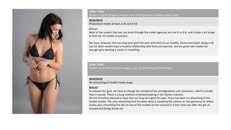

Models used for imagery must be a size 10 to promote a healthy body image

#### **2018/2019:**

Photoshoot model at least a UK size 8-10.

#### RESULT:

Most of the models that you can book through the model agencies are size 6 or 6-8, and it takes a bit longer to find size 10 models at present.

We have, however, met our long term goal this year with both of our models, Ariana and Sarah, being a UK size 10. Both models have a healthy relationship with food and exercise, and are great role models for younger girls wanting a career in modelling.

#### **LONG TERM:**

Models must look natural in imagery, e.g. no retouching of body shapes

# **2018/2019:**

No retouching of model's body shape

# **RESULT:**

To achieve this goal, we have to change the mindset of the photographers and retouchers, which is harder than it sounds. There is a long tradition of photoshopping in the fashion industry.

We are therefore pleased to have met our long term goal this year. There has been no retouching of the models bodies. The only retouching that has been done is tweaking the colours on two garments to reflect reality, plus smoothing the skin of one of the models (at her request) in a few close-ups after she got an unexpected allergy break out.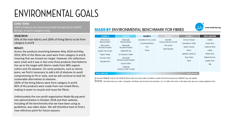# ENVIRONMENTAL GOALS

#### **LONG TERM:**

100% of fabrics are environmentally friendly (from MADE-BY.org's A and B category only)

# **2018/2019:**

93% of the main fabrics and 100% of lining fabrics to be from category A and B

# **RESULT:**

Across the products launching between May 2018 and May 2019, 85% of the fibres we used were from category A and B, meaning that we missed our target. However, the collections were small and it was in fact only three products that failed to live up to the target with fabrics made from 98% organic cotton and 2% elastane. On some products, such as skinny jeans, we find it necessary to add a bit of elastane to avoid compromising on fit or style, and we will continue to look for sustainable alternatives to elastane.

100% of the lining fabrics were from category A and B. 85% of the products were made from non-mixed fibres, making it easier to recycle and reuse the fibres.

Unfortunately the non-profit organisation Made-By.org went into administration in October 2018 and their website, including all the benchmarks that we have been using as guidelines, was taken down. We will therefore have to find a new reference point for future seasons.

# **MADE-BY ENVIRONMENTAL BENCHMARK FOR FIBRES**



| <b>CLASS A</b>                                                                                                                                          | <b>CLASS B</b>                                                                                                                                                                                                                   | <b>CLASS C</b>                                                 | <b>CLASS D</b>                                                                 | <b>CLASS E</b>                                                                                                         | <b>UNCLASSIFIED</b>                                                                                         |
|---------------------------------------------------------------------------------------------------------------------------------------------------------|----------------------------------------------------------------------------------------------------------------------------------------------------------------------------------------------------------------------------------|----------------------------------------------------------------|--------------------------------------------------------------------------------|------------------------------------------------------------------------------------------------------------------------|-------------------------------------------------------------------------------------------------------------|
| Mechanically<br>Recycled Nylon<br>Mechanically<br><b>Recycled Polyester</b><br>Organic Flax (Linen)<br>Organic Hemp<br>Recycled Cotton<br>Recycled Wool | Chemically<br>Recycled Nylon<br>Chemically<br><b>Recycled Polyester</b><br><b>CRAILAR® Flax</b><br>In Conversion Cotton<br>Monocel®<br>(Bamboo Lyocell Product)<br>Organic Cotton<br><b>TENCEL®</b><br>(Lenzing Lyocell Product) | Conventional Flax (Linen)<br>Conventional Hemp<br>PLA<br>Ramie | <b>Modal®</b><br>(Lenzing Viscose Product)<br>Poly-acrylic<br>Virgin Polyester | Bamboo Viscose<br><b>Conventional Cotton</b><br>Generic Viscose<br>Rayon<br>Spandex (Elastane)<br>Virgin Nylon<br>Wool | Acetate<br>Alpaca Wool<br>Cashmere Wool<br>Leather<br>Mohair Wool<br>Natural Bamboo<br>Organic Wool<br>Silk |
| More Sustainable                                                                                                                                        |                                                                                                                                                                                                                                  |                                                                |                                                                                | <b>Less Sustainable</b>                                                                                                |                                                                                                             |

© Copyright MADE-BY Label UK Ltd. MADE-BY Benchmarks cannot be printed, circulated or copied without the accompanying MADE-BY logo and website.

DWE This Benchmark was made in cooperation with Brown and Wilmanns Environmental, LLC. For further information on this Benchmark see www.made-by.org/benchmarks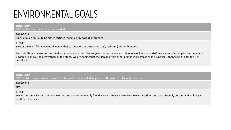# ENVIRONMENTAL GOALS

#### **LONG TERM:**

100% of fabrics to be certified or branded

# **2018/2019:**

100% of main fabrics to be either certified (organic or recycled) or branded

# **RESULT:**

89% of the main fabrics we used were either certified organic (GOTS or OCS), recycled (GRS) or branded.

The only fibres that weren't certified or branded were the 100% recycled merino wool yarns. Due to very low demand of these yarns, the supplier has deemed it unviable financially to certify them at this stage. We are hoping that the demand from other brands will increase as the supplier is then willing to get the GRS certification.

# **LONG TERM:**

100% of trims are environmentally friendly (made from recycled, organic or otherwise eco-friendly materials)

# **2018/2019:**

N/A

# **RESULT:**

We are currently lacking the resources to source environmentally friendly trims. We have however slowly started to source eco-friendly buttons and building a portfolio of suppliers.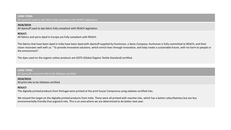All dyestuff used to dye fabric fully compliant with REACH legislation

#### **2018/2019:**

All dyestuff used to dye fabric fully compliant with REACH legislation

# **RESULT:**

All fabrics and yarns dyed in Europe are fully compliant with REACH.

The fabrics that have been dyed in India have been dyed with dyestuff supplied by Huntsman, a Swiss Company. Huntsman is fully committed to REACH, and their vision resonates well with us: "To provide innovative solutions, which enrich lives through innovation, and help create a sustainable future, with no harm to people or the environment".

The dyes used on the organic cotton products are GOTS (Global Organic Textile Standard) certified.

#### **LONG TERM:**  All dyestuffs and print inks to be Oekotex certified

#### **2018/2019:**

All print inks to be Oekotex certified

#### **RESULT:**

The digitally printed products from Portugal were printed at the print house Comprensa using oekotex certified inks.

We missed the target on the digitally printed products from India. These were all printed with reactive inks, which has a better colourfastness but are less environmentally friendly than pigment inks. This is an area where we are determined to do better next year.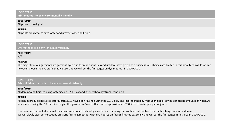# **LONG TERM: Print methods to be environmentally friendly**

#### **2018/2019:**

All prints to be digital

# **RESULT:**

All prints are digital to save water and prevent water pollution.

**LONG TERM:**  Dye methods to be environmentally friendly

# **2018/2019:**

N/A

# **RESULT:**

The majority of our garments are garment dyed due to small quantities and until we have grown as a business, our choices are limited in this area. Meanwhile we can however choose the dye stuffs that we use, and we will set the first target on dye methods in 2020/2021.

# **LONG TERM:**

Fabric finishing methods to be environmentally friendly

# **2018/2019:**

All denim to be finished using watersaving G2, E-flow and lazer technology from Jeanologia

# **RESULT:**

All denim products delivered after March 2018 have been finished using the G2, E-flow and laser technology from Jeanologia, saving significant amounts of water. As an example, using the G2 machine to give the garments a 'worn effect' saves approximately 200 litres of water per pair of jeans.

Our manufacturer in India has all the above-mentioned technologies in-house, meaning that we have full control over the finishing process on denim. We will slowly start conversations on fabric finishing methods with dye houses on fabrics finished externally and will set the first target in this area in 2020/2021.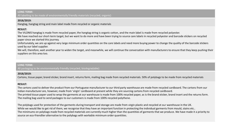All labelling to be made of environmentally friendly materials (recycled, organic)

#### **2018/2019:**

Hangtag, hangtag string and main label made from recycled or organic materials

# **RESULT:**

The VILDNIS hangtag is made from recycled paper, the hangtag string is organic cotton, and the main label is made from recycled polyester.

We have reached our short-term target, but we want to do more and have been trying to source care labels in recycled polyester and barcode stickers on recycled paper since we started this journey.

Unfortunately, we are up against very large minimum order quantities on the care labels and need more buying power to change the quality of the barcode stickers used by our label supplier.

We will, therefore, wait another year to widen the target, and meanwhile, we will continue the conversation with manufacturers to ensure that they keep pushing their suppliers on this area too.

#### **LONG TERM:**

All packaging to be environmentally friendly (recycled, biodegradable)

# **2018/2019:**

Cartons, tissue paper, brand sticker, brand insert, returns form, mailing bag made from recycled materials. 50% of polybags to be made from recycled materials

# **RESULT:**

The cartons used to deliver the product from our Portuguese manufacturer to our third party warehouse are made from recycled cardboard. The cartons from our Indian manufacturer are, however, made from 'virgin' cardboard at present while they are sourcing cartons from recycled cardboard. The printed tissue paper used to wrap the garments at our warehouse is made from 100% recycled paper, as is the brand sticker, brand insert and the returns form. The mailing bag used to send packages to our customers is made from 100% recycled polythene.

The polybags used for protection of the garments during transport and storage are made from virgin plastic and recycled at our warehouse in the UK. While we would like to get rid of them, we recognise that they have an important function in protecting the individual garments from mould, stains etc.. The minimums on polybags made from recycled materials are currently much higher than the quantities of garments that we produce. We have made it a priority to source an eco-friendlier alternative to the polybags with workable minimum order quantities.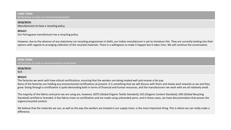**LONG TERM:**  All factories to have an environmental policy

# **2018/2019:**

Manufacturers to have a recycling policy

# **RESULT:**

Our Portuguese manufacturer has a recycling policy.

However, due to the absence of any state/area run recycling programmes in Delhi, our Indian manufacturer is yet to introduce this. They are currently looking into their options with regards to arranging collection of the recycled materials. There is a willingness to make it happen but it takes time. We will continue the conversation.

#### **LONG TERM:**

All factories to hold an environmental certification

# **2018/2019:**

N/A

# **RESULT:**

The factories we work with have ethical certifications, ensuring that the workers are being treated well and receive a fair pay. None of the factories are holding any environmental certifications at present. It is something that we will discuss with them and slowly work towards as we and they grow. Going through a certification is quite demanding both in terms of financial and human resources, and the manufacturers we work with are all relatively small.

The majority of the fabrics and yarns we are using are, however, GOTS (Global Organic Textile Standard), OCS (Organic Content Standard), GRS (Global Recycling Standard) certified or branded. A few fabrics have no certification and are made using unbranded yarns, and in these cases, we have documentation that proves the organic/recycled content.

We believe that the materials we use, as well as the way the workers are treated in our supply chain, is the most important thing. This is where we can really make a difference.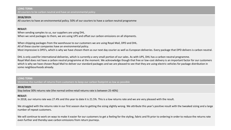#### **LONG TERM:**  All couriers to be carbon neutral and have an environmental policy

# **2018/2019:**

All couriers to have an environmental policy. 50% of our couriers to have a carbon neutral programme

# **RESULT:**

When sending samples to us, our suppliers are using DHL.

When we send packages to them, we are using UPS and offset our carbon emissions on all shipments.

When shipping packages from the warehouse to our customers we are using Royal Mail, DPD and DHL.

All of these courier companies have an environmental policy.

Most impressive is DPD's, which is why we have chosen them as our next day courier as well as European deliveries. Every package that DPD delivers is carbon neutral.

DHL is only used for international deliveries, which is currently a very small portion of our sales. As with UPS, DHL has a carbon neutral programme. Royal Mail does not have a carbon neutral programme at the moment. We acknowledge though that free or low-cost delivery is an important factor for our customers which is why we have chosen Royal Mail to deliver our standard packages and we are pleased to see that they are using electric vehicles for package distribution in some neighbourhoods already.

#### **LONG TERM:**

Minimise the number of returns from customers to keep our carbon footprint as low as possible

# **2018/2019:**

Stay below 30% returns rate (the normal online retail returns rate is between 25-40%)

# **RESULT:**

In 2018, our returns rate was 27.4% and this year to date it is 21.5%. This is a low returns rate and we are very pleased with the result.

We struggled with the returns rate in our first season due to getting the sizing slightly wrong. We attribute this year's positive result with the tweaked sizing and a large number of repeat customers.

We will continue to work on ways to make it easier for our customers to get a feeling for the styling, fabric and fit prior to ordering in order to reduce the returns rate even further and thereby save carbon emissions from return journeys.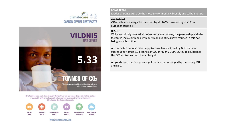





By offsetting your emissions through ClimateCare you are supporting projects that make a measurable difference to people's lives as well as protecting the environment. Climate and development projects:



WWW.CLIMATECARE.ORG

**LONG TERM:**  Modes of transport to be the most environmentally friendly and carbon neutral

# **2018/2019:**

Offset all carbon usage for transport by air. 100% transport by road from European supplier.

# **RESULT:**

While we initially wanted all deliveries by road or sea, the partnership with the factory in India combined with our small quantities have resulted in this not being a viable option.

All products from our Indian supplier have been shipped by DHL we have subsequently offset 5.33 tonnes of CO2 through CLIMATECARE to counteract the CO2 emissions from the air freight.

All goods from our European suppliers have been shipped by road using TNT and DPD.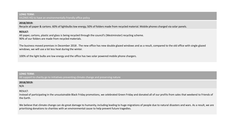#### **LONG TERM:**  VILDNIS HQ to have an environmentally friendly office policy

# **2018/2019:**

Recycle all paper & cartons. 60% of lightbulbs low energy, 50% of folders made from recycled material. Mobile phones charged via solar panels.

# **RESULT:**

All paper, cartons, plastic and glass is being recycled through the council's (Westminster) recycling scheme. 90% of our folders are made from recycled materials.

The business moved premises in December 2018 . The new office has new double glazed windows and as a result, compared to the old office with single glazed windows, we will use a lot less heat during the winter.

100% of the light bulbs are low energy and the office has two solar powered mobile phone chargers.

# **LONG TERM:**

All support to charity go to initiatives preventing climate change and preserving nature

# **2018/2019:**

N/A

# RESULT:

Instead of participating in the unsustainable Black Friday promotions, we celebrated Green Friday and donated all of our profits from sales that weekend to Friends of the Earth.

We believe that climate change can do great damage to humanity, including leading to huge migrations of people due to natural disasters and wars. As a result, we are prioritising donations to charities with an environmental cause to help prevent future tragedies.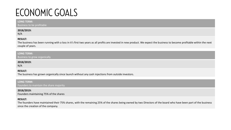# **ECONOMIC GOALS**

#### **LONG TERM:**

Business to be profitable

### **2018/2019:**

N/A

# **RESULT:**

The business has been running with a loss in it's first two years as all profits are invested in new product. We expect the business to become profitable within the next couple of years.

# **LONG TERM:**

Business to grow organically

# **2018/2019:**

N/A

# **RESULT:**

The business has grown organically since launch without any cash injections from outside investors.

#### **LONG TERM:**

Founders to maintain the share majority

#### **2018/2019:**

Founders maintaining 75% of the shares

# **RESULT:**

The founders have maintained their 75% shares, with the remaining 25% of the shares being owned by two Directors of the board who have been part of the business since the creation of the company.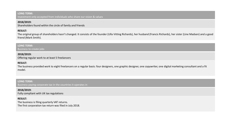Investment only accepted from individuals who share our vision & values

# **2018/2019:**

Shareholders found within the circle of family and friends

# **RESULT:**

The original group of shareholders hasn't changed. It consists of the founder (Ulla Vitting Richards), her husband (Francis Richards), her sister (Line Madsen) and a good friend (Mark Smith).

# **LONG TERM:**

Business to create jobs

# **2018/2019:**

Offering regular work to at least 5 freelancers

# **RESULT:**

The business provided work to eight freelancers on a regular basis: four designers, one graphic designer, one copywriter, one digital marketing consultant and a fit model.

**LONG TERM:**  Business paying corporate tax in the countries it operates in

# **2018/2019:**

Fully compliant with UK tax regulations

# **RESULT:**

The business is filing quarterly VAT returns. The first corporation tax return was filed in July 2018.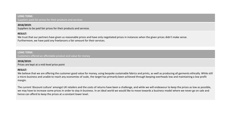**LONG TERM:**  Suppliers paid fair prices for their products and services

# **2018/2019:**

Suppliers to be paid fair prices for their products and services

# **RESULT:**

We trust that our partners have given us reasonable prices and have only negotiated prices in instances when the given prices didn't make sense. Furthermore, we have paid any freelancers a fair amount for their services.

# **LONG TERM:**  Customers offered an affordable product and value for money

#### **2018/2019:**

Prices are kept at a mid-level price point

#### **RESULT:**

We believe that we are offering the customer good value for money, using bespoke sustainable fabrics and prints, as well as producing all garments ethically. While still a micro business and unable to reach any economies of scale, the target has primarily been achieved through keeping overheads low and maintaining a low profit margin.

The current 'discount culture' amongst UK retailers and the costs of returns have been a challenge, and while we will endeavour to keep the prices as low as possible, we may have to increase some prices in order to stay in business. In an ideal world we would like to move towards a business model where we never go on sale and hence can afford to keep the prices at a constant lower level.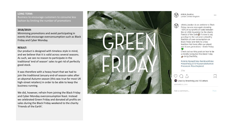Business to encourage customers to consume less fashion by limiting the number of promotions

#### **2018/2019:**

Minimising promotions and avoid participating in events that encourage overconsumption such as Black Friday and Cyber Monday.

#### **RESULT:**

Our product is designed with timeless style in mind, and we believe that it is valid across several seasons. As such, we see no reason to participate in the traditional 'end of season' sales to get rid of perfectly good stock.

It was therefore with a heavy heart that we had to join the traditional January end-of-season-sales after an abysmal Autumn season (this was true for most UK high-street retailers) in order to be able to keep the business running.

We did, however, refrain from joining the Black Friday and Cyber Monday overconsumption feast. Instead we celebrated Green Friday and donated all profits on sales during the Black Friday weekend to the charity 'Friends of the Earth'.



 $\circledcirc$ 

vildnis london London, United Kinadom

vildnis london As an antidote to Black Friday, we are once again donating 100% of our profits on sales between the 22-25th November to the charity Friends of the Earth It's time to say goodbye to the outdated unhealthy tradition of over-consumption on Black Friday and hello to a new tradition that looks after our planet and future generations - Green Friday

Check out our blog post on how to be a mindful consumer this Black Friday bit.ly/2AaSN8q

#vildnis #greenfriday #antiblackfriday #blackfriday2018 #sustainablefashion #newnorm #lovetheplanet

 $31w$ Liked by linevitting and 113 others NOVEMBER 23, 2018

Add a comment...

Post

 $\cdots$